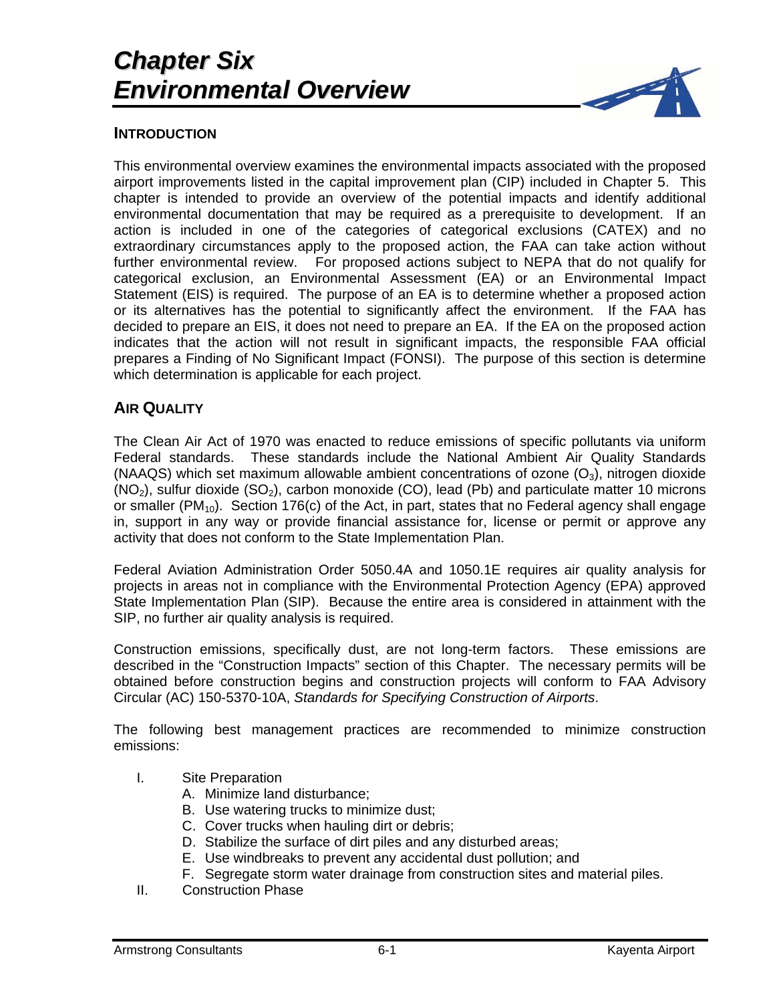

#### **INTRODUCTION**

This environmental overview examines the environmental impacts associated with the proposed airport improvements listed in the capital improvement plan (CIP) included in Chapter 5. This chapter is intended to provide an overview of the potential impacts and identify additional environmental documentation that may be required as a prerequisite to development. If an action is included in one of the categories of categorical exclusions (CATEX) and no extraordinary circumstances apply to the proposed action, the FAA can take action without further environmental review. For proposed actions subject to NEPA that do not qualify for categorical exclusion, an Environmental Assessment (EA) or an Environmental Impact Statement (EIS) is required. The purpose of an EA is to determine whether a proposed action or its alternatives has the potential to significantly affect the environment. If the FAA has decided to prepare an EIS, it does not need to prepare an EA. If the EA on the proposed action indicates that the action will not result in significant impacts, the responsible FAA official prepares a Finding of No Significant Impact (FONSI). The purpose of this section is determine which determination is applicable for each project.

#### **AIR QUALITY**

The Clean Air Act of 1970 was enacted to reduce emissions of specific pollutants via uniform Federal standards. These standards include the National Ambient Air Quality Standards (NAAQS) which set maximum allowable ambient concentrations of ozone  $(O_3)$ , nitrogen dioxide  $(NO<sub>2</sub>)$ , sulfur dioxide  $(SO<sub>2</sub>)$ , carbon monoxide  $(CO)$ , lead  $(Pb)$  and particulate matter 10 microns or smaller ( $PM_{10}$ ). Section 176(c) of the Act, in part, states that no Federal agency shall engage in, support in any way or provide financial assistance for, license or permit or approve any activity that does not conform to the State Implementation Plan.

Federal Aviation Administration Order 5050.4A and 1050.1E requires air quality analysis for projects in areas not in compliance with the Environmental Protection Agency (EPA) approved State Implementation Plan (SIP). Because the entire area is considered in attainment with the SIP, no further air quality analysis is required.

Construction emissions, specifically dust, are not long-term factors. These emissions are described in the "Construction Impacts" section of this Chapter. The necessary permits will be obtained before construction begins and construction projects will conform to FAA Advisory Circular (AC) 150-5370-10A, *Standards for Specifying Construction of Airports*.

The following best management practices are recommended to minimize construction emissions:

- I. Site Preparation
	- A. Minimize land disturbance;
	- B. Use watering trucks to minimize dust;
	- C. Cover trucks when hauling dirt or debris;
	- D. Stabilize the surface of dirt piles and any disturbed areas;
	- E. Use windbreaks to prevent any accidental dust pollution; and
	- F. Segregate storm water drainage from construction sites and material piles.
- II. Construction Phase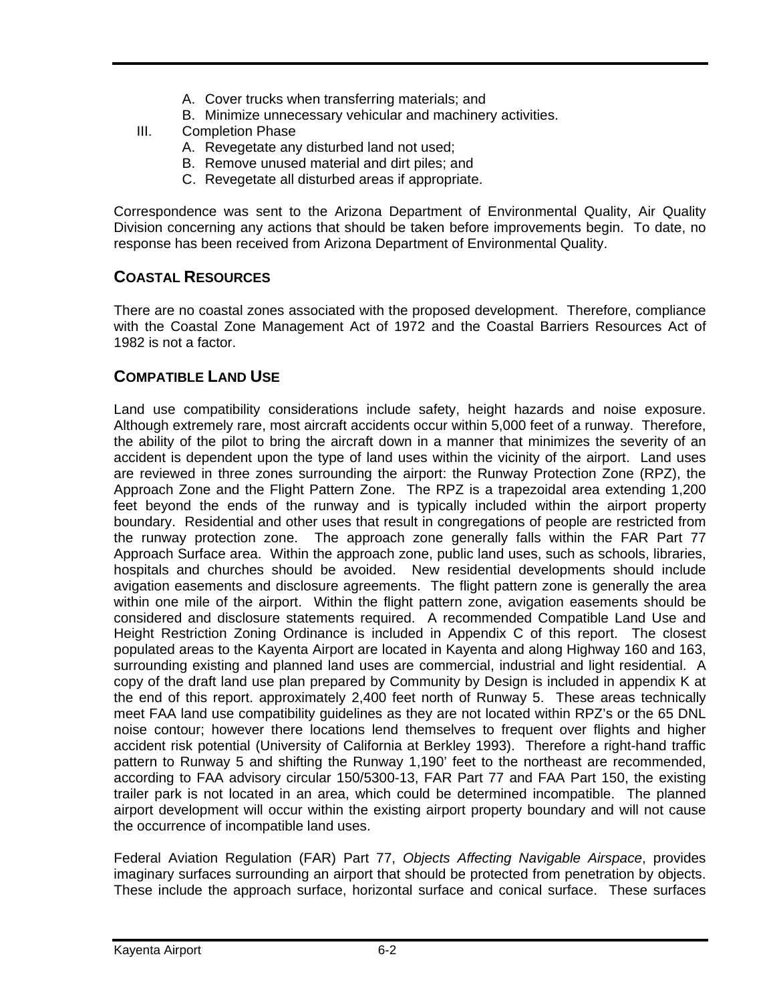- A. Cover trucks when transferring materials; and
- B. Minimize unnecessary vehicular and machinery activities.
- III. Completion Phase
	- A. Revegetate any disturbed land not used;
	- B. Remove unused material and dirt piles; and
	- C. Revegetate all disturbed areas if appropriate.

Correspondence was sent to the Arizona Department of Environmental Quality, Air Quality Division concerning any actions that should be taken before improvements begin. To date, no response has been received from Arizona Department of Environmental Quality.

## **COASTAL RESOURCES**

There are no coastal zones associated with the proposed development. Therefore, compliance with the Coastal Zone Management Act of 1972 and the Coastal Barriers Resources Act of 1982 is not a factor.

## **COMPATIBLE LAND USE**

Land use compatibility considerations include safety, height hazards and noise exposure. Although extremely rare, most aircraft accidents occur within 5,000 feet of a runway. Therefore, the ability of the pilot to bring the aircraft down in a manner that minimizes the severity of an accident is dependent upon the type of land uses within the vicinity of the airport. Land uses are reviewed in three zones surrounding the airport: the Runway Protection Zone (RPZ), the Approach Zone and the Flight Pattern Zone. The RPZ is a trapezoidal area extending 1,200 feet beyond the ends of the runway and is typically included within the airport property boundary. Residential and other uses that result in congregations of people are restricted from the runway protection zone. The approach zone generally falls within the FAR Part 77 Approach Surface area. Within the approach zone, public land uses, such as schools, libraries, hospitals and churches should be avoided. New residential developments should include avigation easements and disclosure agreements. The flight pattern zone is generally the area within one mile of the airport. Within the flight pattern zone, avigation easements should be considered and disclosure statements required. A recommended Compatible Land Use and Height Restriction Zoning Ordinance is included in Appendix C of this report. The closest populated areas to the Kayenta Airport are located in Kayenta and along Highway 160 and 163, surrounding existing and planned land uses are commercial, industrial and light residential. A copy of the draft land use plan prepared by Community by Design is included in appendix K at the end of this report. approximately 2,400 feet north of Runway 5. These areas technically meet FAA land use compatibility guidelines as they are not located within RPZ's or the 65 DNL noise contour; however there locations lend themselves to frequent over flights and higher accident risk potential (University of California at Berkley 1993). Therefore a right-hand traffic pattern to Runway 5 and shifting the Runway 1,190' feet to the northeast are recommended, according to FAA advisory circular 150/5300-13, FAR Part 77 and FAA Part 150, the existing trailer park is not located in an area, which could be determined incompatible. The planned airport development will occur within the existing airport property boundary and will not cause the occurrence of incompatible land uses.

Federal Aviation Regulation (FAR) Part 77, *Objects Affecting Navigable Airspace*, provides imaginary surfaces surrounding an airport that should be protected from penetration by objects. These include the approach surface, horizontal surface and conical surface. These surfaces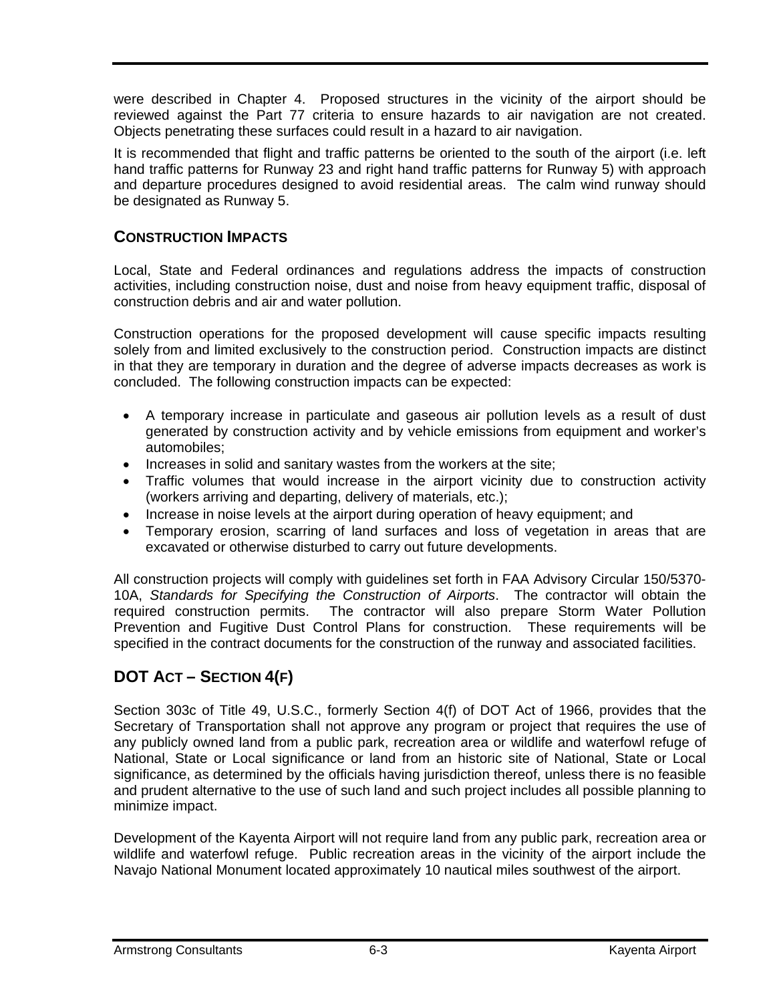were described in Chapter 4. Proposed structures in the vicinity of the airport should be reviewed against the Part 77 criteria to ensure hazards to air navigation are not created. Objects penetrating these surfaces could result in a hazard to air navigation.

It is recommended that flight and traffic patterns be oriented to the south of the airport (i.e. left hand traffic patterns for Runway 23 and right hand traffic patterns for Runway 5) with approach and departure procedures designed to avoid residential areas. The calm wind runway should be designated as Runway 5.

### **CONSTRUCTION IMPACTS**

Local, State and Federal ordinances and regulations address the impacts of construction activities, including construction noise, dust and noise from heavy equipment traffic, disposal of construction debris and air and water pollution.

Construction operations for the proposed development will cause specific impacts resulting solely from and limited exclusively to the construction period. Construction impacts are distinct in that they are temporary in duration and the degree of adverse impacts decreases as work is concluded. The following construction impacts can be expected:

- A temporary increase in particulate and gaseous air pollution levels as a result of dust generated by construction activity and by vehicle emissions from equipment and worker's automobiles;
- Increases in solid and sanitary wastes from the workers at the site;
- Traffic volumes that would increase in the airport vicinity due to construction activity (workers arriving and departing, delivery of materials, etc.);
- Increase in noise levels at the airport during operation of heavy equipment; and
- Temporary erosion, scarring of land surfaces and loss of vegetation in areas that are excavated or otherwise disturbed to carry out future developments.

All construction projects will comply with guidelines set forth in FAA Advisory Circular 150/5370- 10A, *Standards for Specifying the Construction of Airports*. The contractor will obtain the required construction permits. The contractor will also prepare Storm Water Pollution Prevention and Fugitive Dust Control Plans for construction. These requirements will be specified in the contract documents for the construction of the runway and associated facilities.

# **DOT ACT – SECTION 4(F)**

Section 303c of Title 49, U.S.C., formerly Section 4(f) of DOT Act of 1966, provides that the Secretary of Transportation shall not approve any program or project that requires the use of any publicly owned land from a public park, recreation area or wildlife and waterfowl refuge of National, State or Local significance or land from an historic site of National, State or Local significance, as determined by the officials having jurisdiction thereof, unless there is no feasible and prudent alternative to the use of such land and such project includes all possible planning to minimize impact.

Development of the Kayenta Airport will not require land from any public park, recreation area or wildlife and waterfowl refuge. Public recreation areas in the vicinity of the airport include the Navajo National Monument located approximately 10 nautical miles southwest of the airport.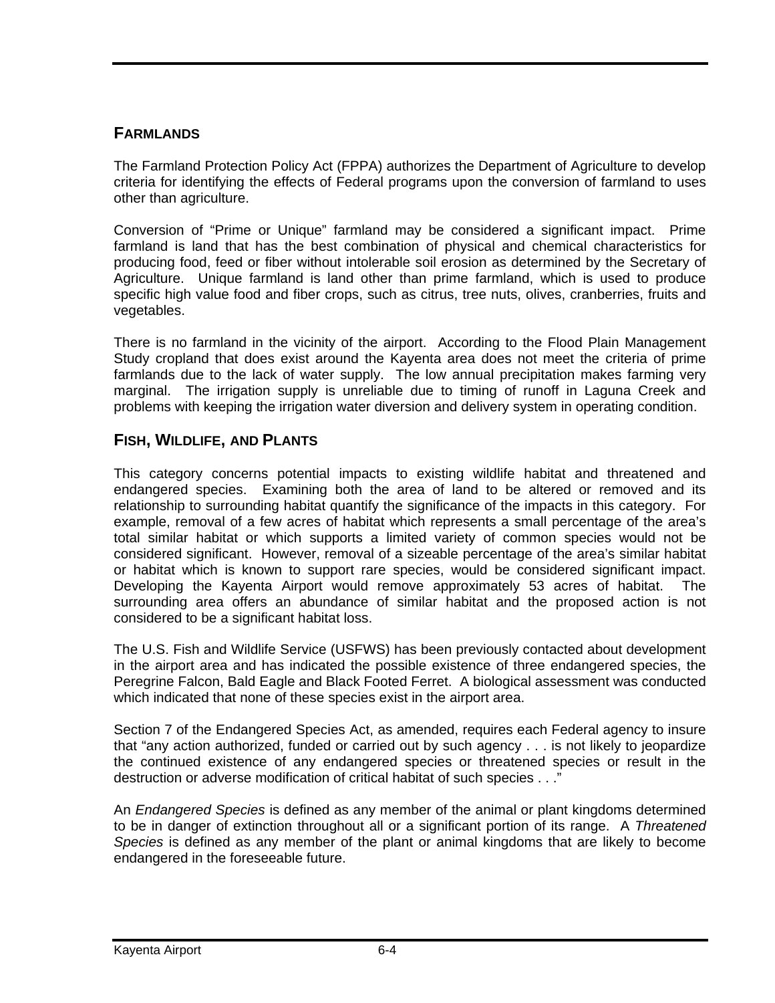### **FARMLANDS**

The Farmland Protection Policy Act (FPPA) authorizes the Department of Agriculture to develop criteria for identifying the effects of Federal programs upon the conversion of farmland to uses other than agriculture.

Conversion of "Prime or Unique" farmland may be considered a significant impact. Prime farmland is land that has the best combination of physical and chemical characteristics for producing food, feed or fiber without intolerable soil erosion as determined by the Secretary of Agriculture. Unique farmland is land other than prime farmland, which is used to produce specific high value food and fiber crops, such as citrus, tree nuts, olives, cranberries, fruits and vegetables.

There is no farmland in the vicinity of the airport. According to the Flood Plain Management Study cropland that does exist around the Kayenta area does not meet the criteria of prime farmlands due to the lack of water supply. The low annual precipitation makes farming very marginal. The irrigation supply is unreliable due to timing of runoff in Laguna Creek and problems with keeping the irrigation water diversion and delivery system in operating condition.

### **FISH, WILDLIFE, AND PLANTS**

This category concerns potential impacts to existing wildlife habitat and threatened and endangered species. Examining both the area of land to be altered or removed and its relationship to surrounding habitat quantify the significance of the impacts in this category. For example, removal of a few acres of habitat which represents a small percentage of the area's total similar habitat or which supports a limited variety of common species would not be considered significant. However, removal of a sizeable percentage of the area's similar habitat or habitat which is known to support rare species, would be considered significant impact. Developing the Kayenta Airport would remove approximately 53 acres of habitat. The surrounding area offers an abundance of similar habitat and the proposed action is not considered to be a significant habitat loss.

The U.S. Fish and Wildlife Service (USFWS) has been previously contacted about development in the airport area and has indicated the possible existence of three endangered species, the Peregrine Falcon, Bald Eagle and Black Footed Ferret. A biological assessment was conducted which indicated that none of these species exist in the airport area.

Section 7 of the Endangered Species Act, as amended, requires each Federal agency to insure that "any action authorized, funded or carried out by such agency . . . is not likely to jeopardize the continued existence of any endangered species or threatened species or result in the destruction or adverse modification of critical habitat of such species . . ."

An *Endangered Species* is defined as any member of the animal or plant kingdoms determined to be in danger of extinction throughout all or a significant portion of its range. A *Threatened Species* is defined as any member of the plant or animal kingdoms that are likely to become endangered in the foreseeable future.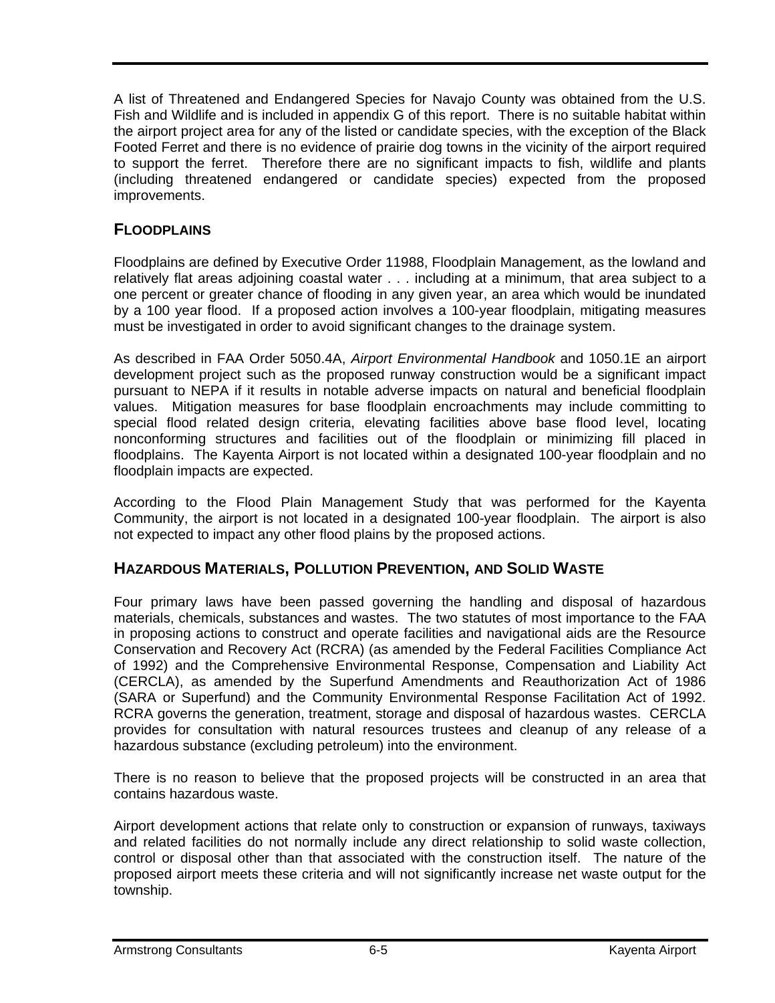A list of Threatened and Endangered Species for Navajo County was obtained from the U.S. Fish and Wildlife and is included in appendix G of this report. There is no suitable habitat within the airport project area for any of the listed or candidate species, with the exception of the Black Footed Ferret and there is no evidence of prairie dog towns in the vicinity of the airport required to support the ferret. Therefore there are no significant impacts to fish, wildlife and plants (including threatened endangered or candidate species) expected from the proposed improvements.

# **FLOODPLAINS**

Floodplains are defined by Executive Order 11988, Floodplain Management, as the lowland and relatively flat areas adjoining coastal water . . . including at a minimum, that area subject to a one percent or greater chance of flooding in any given year, an area which would be inundated by a 100 year flood. If a proposed action involves a 100-year floodplain, mitigating measures must be investigated in order to avoid significant changes to the drainage system.

As described in FAA Order 5050.4A, *Airport Environmental Handbook* and 1050.1E an airport development project such as the proposed runway construction would be a significant impact pursuant to NEPA if it results in notable adverse impacts on natural and beneficial floodplain values. Mitigation measures for base floodplain encroachments may include committing to special flood related design criteria, elevating facilities above base flood level, locating nonconforming structures and facilities out of the floodplain or minimizing fill placed in floodplains. The Kayenta Airport is not located within a designated 100-year floodplain and no floodplain impacts are expected.

According to the Flood Plain Management Study that was performed for the Kayenta Community, the airport is not located in a designated 100-year floodplain. The airport is also not expected to impact any other flood plains by the proposed actions.

## **HAZARDOUS MATERIALS, POLLUTION PREVENTION, AND SOLID WASTE**

Four primary laws have been passed governing the handling and disposal of hazardous materials, chemicals, substances and wastes. The two statutes of most importance to the FAA in proposing actions to construct and operate facilities and navigational aids are the Resource Conservation and Recovery Act (RCRA) (as amended by the Federal Facilities Compliance Act of 1992) and the Comprehensive Environmental Response, Compensation and Liability Act (CERCLA), as amended by the Superfund Amendments and Reauthorization Act of 1986 (SARA or Superfund) and the Community Environmental Response Facilitation Act of 1992. RCRA governs the generation, treatment, storage and disposal of hazardous wastes. CERCLA provides for consultation with natural resources trustees and cleanup of any release of a hazardous substance (excluding petroleum) into the environment.

There is no reason to believe that the proposed projects will be constructed in an area that contains hazardous waste.

Airport development actions that relate only to construction or expansion of runways, taxiways and related facilities do not normally include any direct relationship to solid waste collection, control or disposal other than that associated with the construction itself. The nature of the proposed airport meets these criteria and will not significantly increase net waste output for the township.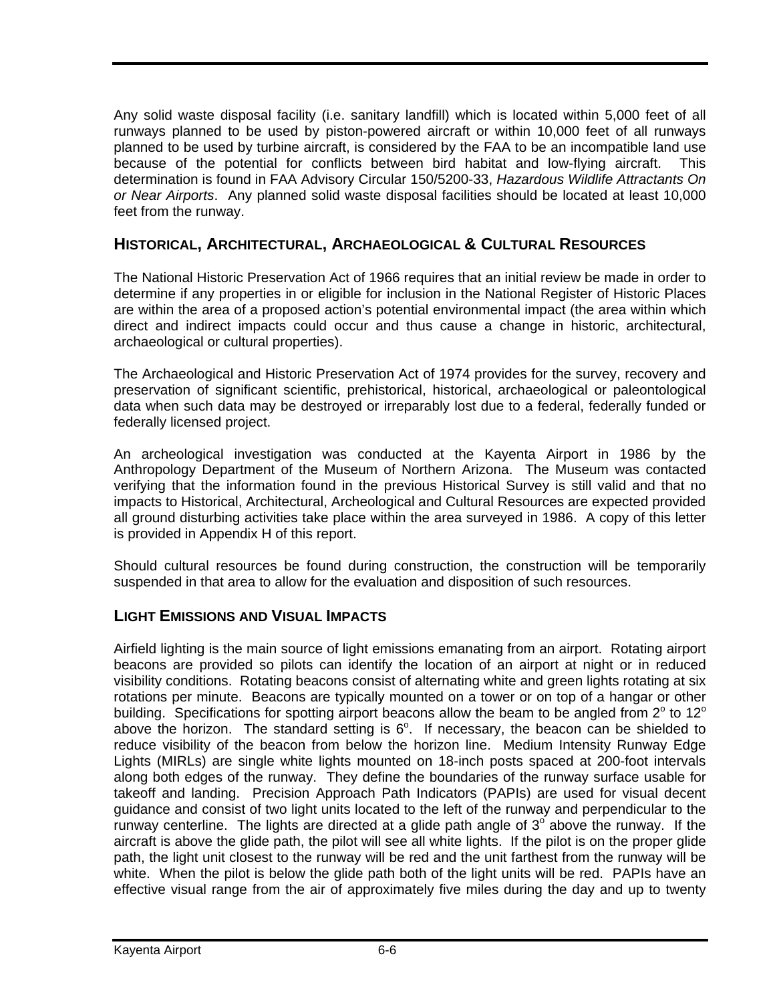Any solid waste disposal facility (i.e. sanitary landfill) which is located within 5,000 feet of all runways planned to be used by piston-powered aircraft or within 10,000 feet of all runways planned to be used by turbine aircraft, is considered by the FAA to be an incompatible land use because of the potential for conflicts between bird habitat and low-flying aircraft. This determination is found in FAA Advisory Circular 150/5200-33, *Hazardous Wildlife Attractants On or Near Airports*. Any planned solid waste disposal facilities should be located at least 10,000 feet from the runway.

## **HISTORICAL, ARCHITECTURAL, ARCHAEOLOGICAL & CULTURAL RESOURCES**

The National Historic Preservation Act of 1966 requires that an initial review be made in order to determine if any properties in or eligible for inclusion in the National Register of Historic Places are within the area of a proposed action's potential environmental impact (the area within which direct and indirect impacts could occur and thus cause a change in historic, architectural, archaeological or cultural properties).

The Archaeological and Historic Preservation Act of 1974 provides for the survey, recovery and preservation of significant scientific, prehistorical, historical, archaeological or paleontological data when such data may be destroyed or irreparably lost due to a federal, federally funded or federally licensed project.

An archeological investigation was conducted at the Kayenta Airport in 1986 by the Anthropology Department of the Museum of Northern Arizona. The Museum was contacted verifying that the information found in the previous Historical Survey is still valid and that no impacts to Historical, Architectural, Archeological and Cultural Resources are expected provided all ground disturbing activities take place within the area surveyed in 1986. A copy of this letter is provided in Appendix H of this report.

Should cultural resources be found during construction, the construction will be temporarily suspended in that area to allow for the evaluation and disposition of such resources.

## **LIGHT EMISSIONS AND VISUAL IMPACTS**

Airfield lighting is the main source of light emissions emanating from an airport. Rotating airport beacons are provided so pilots can identify the location of an airport at night or in reduced visibility conditions. Rotating beacons consist of alternating white and green lights rotating at six rotations per minute. Beacons are typically mounted on a tower or on top of a hangar or other building. Specifications for spotting airport beacons allow the beam to be angled from  $2^{\circ}$  to 12<sup>o</sup> above the horizon. The standard setting is  $6^\circ$ . If necessary, the beacon can be shielded to reduce visibility of the beacon from below the horizon line. Medium Intensity Runway Edge Lights (MIRLs) are single white lights mounted on 18-inch posts spaced at 200-foot intervals along both edges of the runway. They define the boundaries of the runway surface usable for takeoff and landing. Precision Approach Path Indicators (PAPIs) are used for visual decent guidance and consist of two light units located to the left of the runway and perpendicular to the runway centerline. The lights are directed at a glide path angle of  $3^\circ$  above the runway. If the aircraft is above the glide path, the pilot will see all white lights. If the pilot is on the proper glide path, the light unit closest to the runway will be red and the unit farthest from the runway will be white. When the pilot is below the glide path both of the light units will be red. PAPIs have an effective visual range from the air of approximately five miles during the day and up to twenty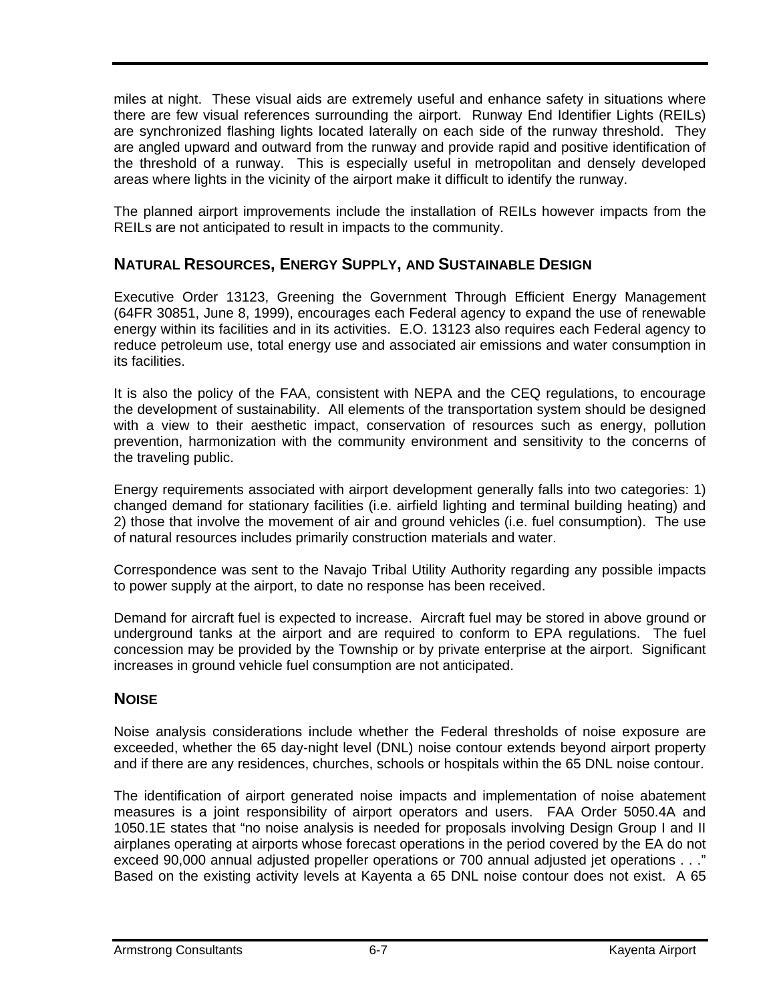miles at night. These visual aids are extremely useful and enhance safety in situations where there are few visual references surrounding the airport. Runway End Identifier Lights (REILs) are synchronized flashing lights located laterally on each side of the runway threshold. They are angled upward and outward from the runway and provide rapid and positive identification of the threshold of a runway. This is especially useful in metropolitan and densely developed areas where lights in the vicinity of the airport make it difficult to identify the runway.

The planned airport improvements include the installation of REILs however impacts from the REILs are not anticipated to result in impacts to the community.

## **NATURAL RESOURCES, ENERGY SUPPLY, AND SUSTAINABLE DESIGN**

Executive Order 13123, Greening the Government Through Efficient Energy Management (64FR 30851, June 8, 1999), encourages each Federal agency to expand the use of renewable energy within its facilities and in its activities. E.O. 13123 also requires each Federal agency to reduce petroleum use, total energy use and associated air emissions and water consumption in its facilities.

It is also the policy of the FAA, consistent with NEPA and the CEQ regulations, to encourage the development of sustainability. All elements of the transportation system should be designed with a view to their aesthetic impact, conservation of resources such as energy, pollution prevention, harmonization with the community environment and sensitivity to the concerns of the traveling public.

Energy requirements associated with airport development generally falls into two categories: 1) changed demand for stationary facilities (i.e. airfield lighting and terminal building heating) and 2) those that involve the movement of air and ground vehicles (i.e. fuel consumption). The use of natural resources includes primarily construction materials and water.

Correspondence was sent to the Navajo Tribal Utility Authority regarding any possible impacts to power supply at the airport, to date no response has been received.

Demand for aircraft fuel is expected to increase. Aircraft fuel may be stored in above ground or underground tanks at the airport and are required to conform to EPA regulations. The fuel concession may be provided by the Township or by private enterprise at the airport. Significant increases in ground vehicle fuel consumption are not anticipated.

## **NOISE**

Noise analysis considerations include whether the Federal thresholds of noise exposure are exceeded, whether the 65 day-night level (DNL) noise contour extends beyond airport property and if there are any residences, churches, schools or hospitals within the 65 DNL noise contour.

The identification of airport generated noise impacts and implementation of noise abatement measures is a joint responsibility of airport operators and users. FAA Order 5050.4A and 1050.1E states that "no noise analysis is needed for proposals involving Design Group I and II airplanes operating at airports whose forecast operations in the period covered by the EA do not exceed 90,000 annual adjusted propeller operations or 700 annual adjusted jet operations . . ." Based on the existing activity levels at Kayenta a 65 DNL noise contour does not exist. A 65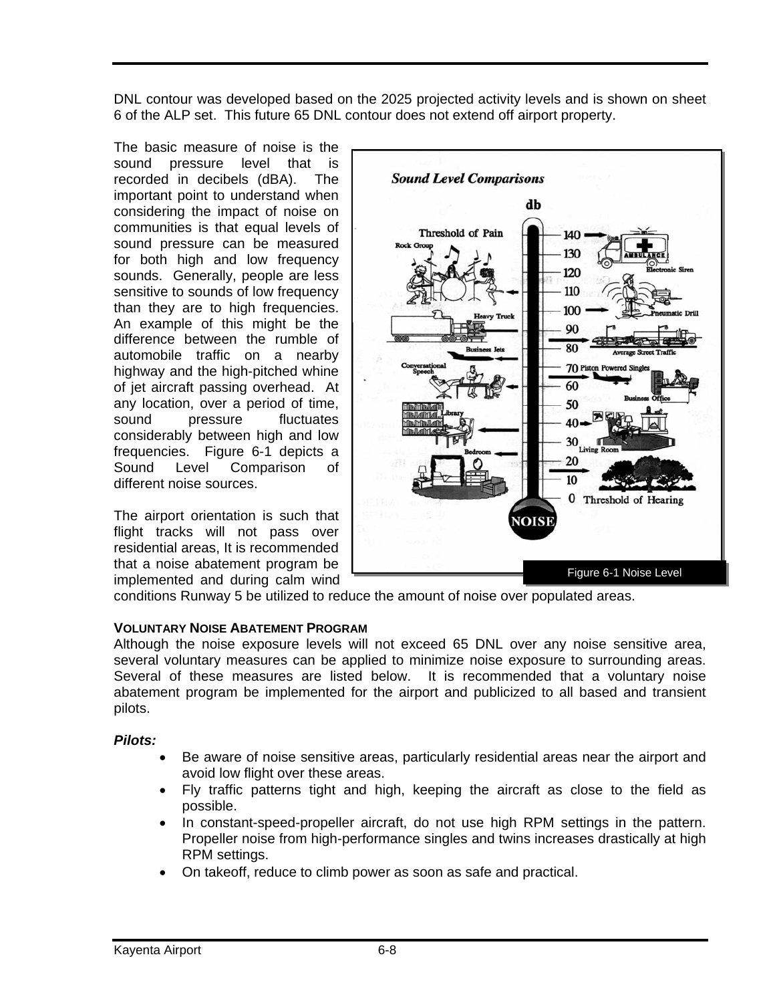DNL contour was developed based on the 2025 projected activity levels and is shown on sheet 6 of the ALP set. This future 65 DNL contour does not extend off airport property.

The basic measure of noise is the sound pressure level that is recorded in decibels (dBA). The important point to understand when considering the impact of noise on communities is that equal levels of sound pressure can be measured for both high and low frequency sounds. Generally, people are less sensitive to sounds of low frequency than they are to high frequencies. An example of this might be the difference between the rumble of automobile traffic on a nearby highway and the high-pitched whine of jet aircraft passing overhead. At any location, over a period of time, sound pressure fluctuates considerably between high and low frequencies. Figure 6-1 depicts a Sound Level Comparison of different noise sources.

The airport orientation is such that flight tracks will not pass over residential areas, It is recommended that a noise abatement program be implemented and during calm wind



conditions Runway 5 be utilized to reduce the amount of noise over populated areas.

#### **VOLUNTARY NOISE ABATEMENT PROGRAM**

Although the noise exposure levels will not exceed 65 DNL over any noise sensitive area, several voluntary measures can be applied to minimize noise exposure to surrounding areas. Several of these measures are listed below. It is recommended that a voluntary noise abatement program be implemented for the airport and publicized to all based and transient pilots.

#### *Pilots:*

- Be aware of noise sensitive areas, particularly residential areas near the airport and avoid low flight over these areas.
- Fly traffic patterns tight and high, keeping the aircraft as close to the field as possible.
- In constant-speed-propeller aircraft, do not use high RPM settings in the pattern. Propeller noise from high-performance singles and twins increases drastically at high RPM settings.
- On takeoff, reduce to climb power as soon as safe and practical.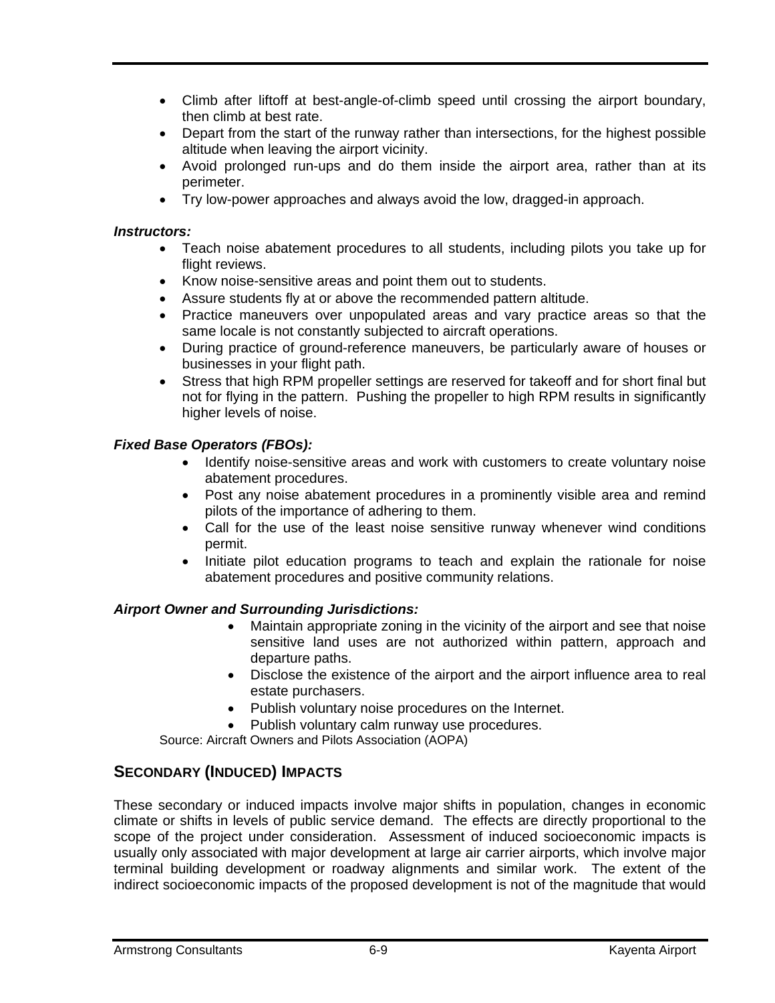- Climb after liftoff at best-angle-of-climb speed until crossing the airport boundary, then climb at best rate.
- Depart from the start of the runway rather than intersections, for the highest possible altitude when leaving the airport vicinity.
- Avoid prolonged run-ups and do them inside the airport area, rather than at its perimeter.
- Try low-power approaches and always avoid the low, dragged-in approach.

#### *Instructors:*

- Teach noise abatement procedures to all students, including pilots you take up for flight reviews.
- Know noise-sensitive areas and point them out to students.
- Assure students fly at or above the recommended pattern altitude.
- Practice maneuvers over unpopulated areas and vary practice areas so that the same locale is not constantly subjected to aircraft operations.
- During practice of ground-reference maneuvers, be particularly aware of houses or businesses in your flight path.
- Stress that high RPM propeller settings are reserved for takeoff and for short final but not for flying in the pattern. Pushing the propeller to high RPM results in significantly higher levels of noise.

#### *Fixed Base Operators (FBOs):*

- Identify noise-sensitive areas and work with customers to create voluntary noise abatement procedures.
- Post any noise abatement procedures in a prominently visible area and remind pilots of the importance of adhering to them.
- Call for the use of the least noise sensitive runway whenever wind conditions permit.
- Initiate pilot education programs to teach and explain the rationale for noise abatement procedures and positive community relations.

### *Airport Owner and Surrounding Jurisdictions:*

- Maintain appropriate zoning in the vicinity of the airport and see that noise sensitive land uses are not authorized within pattern, approach and departure paths.
- Disclose the existence of the airport and the airport influence area to real estate purchasers.
- Publish voluntary noise procedures on the Internet.
- Publish voluntary calm runway use procedures.

Source: Aircraft Owners and Pilots Association (AOPA)

## **SECONDARY (INDUCED) IMPACTS**

These secondary or induced impacts involve major shifts in population, changes in economic climate or shifts in levels of public service demand. The effects are directly proportional to the scope of the project under consideration. Assessment of induced socioeconomic impacts is usually only associated with major development at large air carrier airports, which involve major terminal building development or roadway alignments and similar work. The extent of the indirect socioeconomic impacts of the proposed development is not of the magnitude that would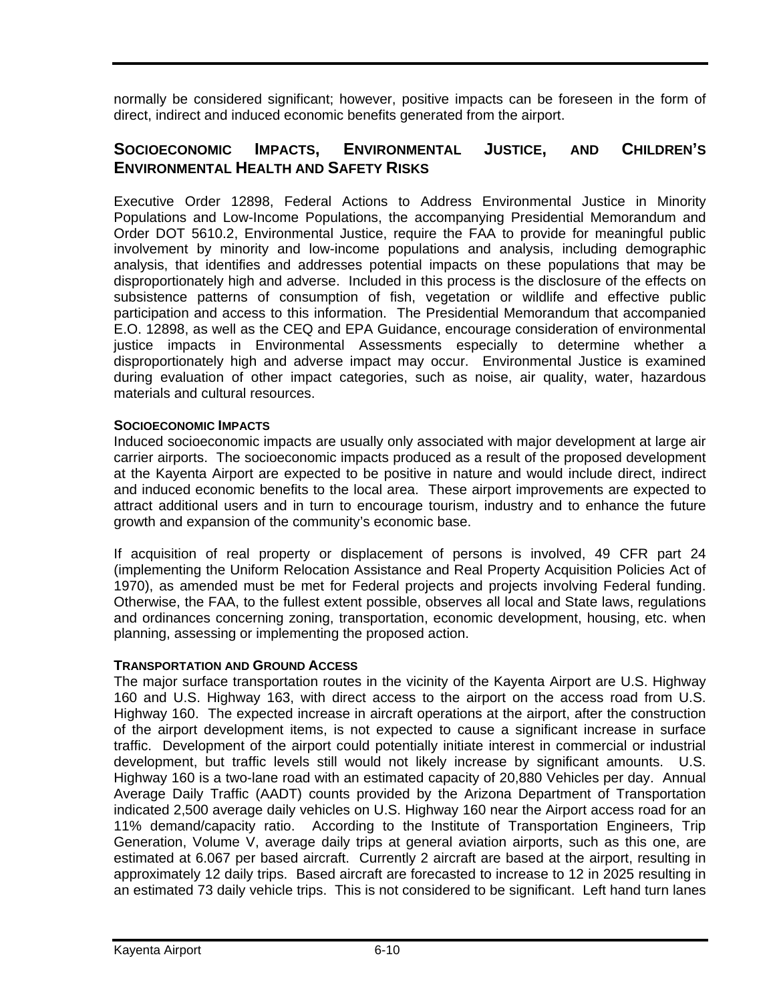normally be considered significant; however, positive impacts can be foreseen in the form of direct, indirect and induced economic benefits generated from the airport.

## **SOCIOECONOMIC IMPACTS, ENVIRONMENTAL JUSTICE, AND CHILDREN'S ENVIRONMENTAL HEALTH AND SAFETY RISKS**

Executive Order 12898, Federal Actions to Address Environmental Justice in Minority Populations and Low-Income Populations, the accompanying Presidential Memorandum and Order DOT 5610.2, Environmental Justice, require the FAA to provide for meaningful public involvement by minority and low-income populations and analysis, including demographic analysis, that identifies and addresses potential impacts on these populations that may be disproportionately high and adverse. Included in this process is the disclosure of the effects on subsistence patterns of consumption of fish, vegetation or wildlife and effective public participation and access to this information. The Presidential Memorandum that accompanied E.O. 12898, as well as the CEQ and EPA Guidance, encourage consideration of environmental justice impacts in Environmental Assessments especially to determine whether a disproportionately high and adverse impact may occur. Environmental Justice is examined during evaluation of other impact categories, such as noise, air quality, water, hazardous materials and cultural resources.

#### **SOCIOECONOMIC IMPACTS**

Induced socioeconomic impacts are usually only associated with major development at large air carrier airports. The socioeconomic impacts produced as a result of the proposed development at the Kayenta Airport are expected to be positive in nature and would include direct, indirect and induced economic benefits to the local area. These airport improvements are expected to attract additional users and in turn to encourage tourism, industry and to enhance the future growth and expansion of the community's economic base.

If acquisition of real property or displacement of persons is involved, 49 CFR part 24 (implementing the Uniform Relocation Assistance and Real Property Acquisition Policies Act of 1970), as amended must be met for Federal projects and projects involving Federal funding. Otherwise, the FAA, to the fullest extent possible, observes all local and State laws, regulations and ordinances concerning zoning, transportation, economic development, housing, etc. when planning, assessing or implementing the proposed action.

#### **TRANSPORTATION AND GROUND ACCESS**

The major surface transportation routes in the vicinity of the Kayenta Airport are U.S. Highway 160 and U.S. Highway 163, with direct access to the airport on the access road from U.S. Highway 160. The expected increase in aircraft operations at the airport, after the construction of the airport development items, is not expected to cause a significant increase in surface traffic. Development of the airport could potentially initiate interest in commercial or industrial development, but traffic levels still would not likely increase by significant amounts. U.S. Highway 160 is a two-lane road with an estimated capacity of 20,880 Vehicles per day. Annual Average Daily Traffic (AADT) counts provided by the Arizona Department of Transportation indicated 2,500 average daily vehicles on U.S. Highway 160 near the Airport access road for an 11% demand/capacity ratio. According to the Institute of Transportation Engineers, Trip Generation, Volume V, average daily trips at general aviation airports, such as this one, are estimated at 6.067 per based aircraft. Currently 2 aircraft are based at the airport, resulting in approximately 12 daily trips. Based aircraft are forecasted to increase to 12 in 2025 resulting in an estimated 73 daily vehicle trips. This is not considered to be significant. Left hand turn lanes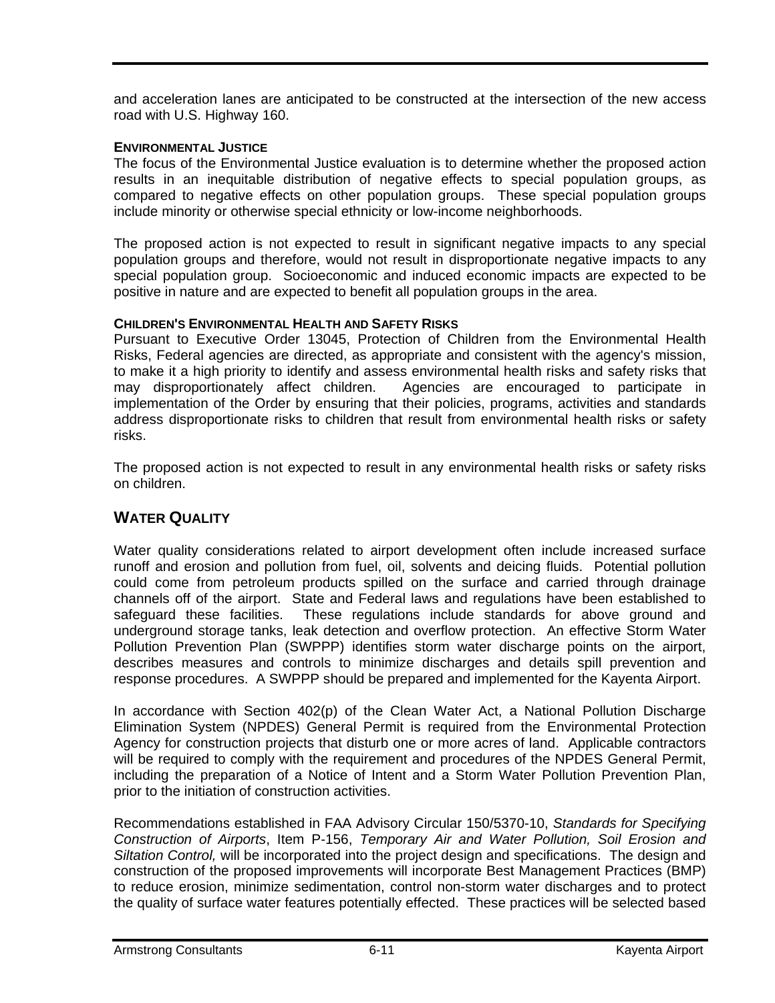and acceleration lanes are anticipated to be constructed at the intersection of the new access road with U.S. Highway 160.

#### **ENVIRONMENTAL JUSTICE**

The focus of the Environmental Justice evaluation is to determine whether the proposed action results in an inequitable distribution of negative effects to special population groups, as compared to negative effects on other population groups. These special population groups include minority or otherwise special ethnicity or low-income neighborhoods.

The proposed action is not expected to result in significant negative impacts to any special population groups and therefore, would not result in disproportionate negative impacts to any special population group. Socioeconomic and induced economic impacts are expected to be positive in nature and are expected to benefit all population groups in the area.

#### **CHILDREN'S ENVIRONMENTAL HEALTH AND SAFETY RISKS**

Pursuant to Executive Order 13045, Protection of Children from the Environmental Health Risks, Federal agencies are directed, as appropriate and consistent with the agency's mission, to make it a high priority to identify and assess environmental health risks and safety risks that may disproportionately affect children. Agencies are encouraged to participate in implementation of the Order by ensuring that their policies, programs, activities and standards address disproportionate risks to children that result from environmental health risks or safety risks.

The proposed action is not expected to result in any environmental health risks or safety risks on children.

## **WATER QUALITY**

Water quality considerations related to airport development often include increased surface runoff and erosion and pollution from fuel, oil, solvents and deicing fluids. Potential pollution could come from petroleum products spilled on the surface and carried through drainage channels off of the airport. State and Federal laws and regulations have been established to safeguard these facilities. These regulations include standards for above ground and underground storage tanks, leak detection and overflow protection. An effective Storm Water Pollution Prevention Plan (SWPPP) identifies storm water discharge points on the airport, describes measures and controls to minimize discharges and details spill prevention and response procedures. A SWPPP should be prepared and implemented for the Kayenta Airport.

In accordance with Section 402(p) of the Clean Water Act, a National Pollution Discharge Elimination System (NPDES) General Permit is required from the Environmental Protection Agency for construction projects that disturb one or more acres of land. Applicable contractors will be required to comply with the requirement and procedures of the NPDES General Permit, including the preparation of a Notice of Intent and a Storm Water Pollution Prevention Plan, prior to the initiation of construction activities.

Recommendations established in FAA Advisory Circular 150/5370-10, *Standards for Specifying Construction of Airports*, Item P-156, *Temporary Air and Water Pollution, Soil Erosion and Siltation Control,* will be incorporated into the project design and specifications. The design and construction of the proposed improvements will incorporate Best Management Practices (BMP) to reduce erosion, minimize sedimentation, control non-storm water discharges and to protect the quality of surface water features potentially effected. These practices will be selected based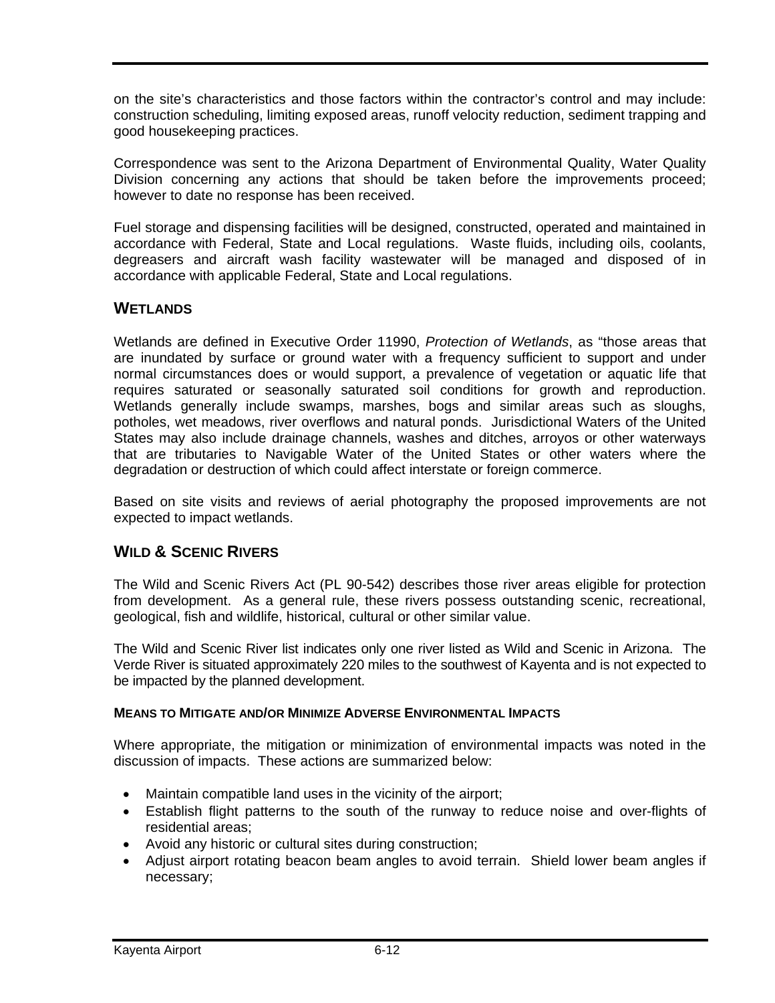on the site's characteristics and those factors within the contractor's control and may include: construction scheduling, limiting exposed areas, runoff velocity reduction, sediment trapping and good housekeeping practices.

Correspondence was sent to the Arizona Department of Environmental Quality, Water Quality Division concerning any actions that should be taken before the improvements proceed; however to date no response has been received.

Fuel storage and dispensing facilities will be designed, constructed, operated and maintained in accordance with Federal, State and Local regulations. Waste fluids, including oils, coolants, degreasers and aircraft wash facility wastewater will be managed and disposed of in accordance with applicable Federal, State and Local regulations.

## **WETLANDS**

Wetlands are defined in Executive Order 11990, *Protection of Wetlands*, as "those areas that are inundated by surface or ground water with a frequency sufficient to support and under normal circumstances does or would support, a prevalence of vegetation or aquatic life that requires saturated or seasonally saturated soil conditions for growth and reproduction. Wetlands generally include swamps, marshes, bogs and similar areas such as sloughs, potholes, wet meadows, river overflows and natural ponds. Jurisdictional Waters of the United States may also include drainage channels, washes and ditches, arroyos or other waterways that are tributaries to Navigable Water of the United States or other waters where the degradation or destruction of which could affect interstate or foreign commerce.

Based on site visits and reviews of aerial photography the proposed improvements are not expected to impact wetlands.

## **WILD & SCENIC RIVERS**

The Wild and Scenic Rivers Act (PL 90-542) describes those river areas eligible for protection from development. As a general rule, these rivers possess outstanding scenic, recreational, geological, fish and wildlife, historical, cultural or other similar value.

The Wild and Scenic River list indicates only one river listed as Wild and Scenic in Arizona. The Verde River is situated approximately 220 miles to the southwest of Kayenta and is not expected to be impacted by the planned development.

#### **MEANS TO MITIGATE AND/OR MINIMIZE ADVERSE ENVIRONMENTAL IMPACTS**

Where appropriate, the mitigation or minimization of environmental impacts was noted in the discussion of impacts. These actions are summarized below:

- Maintain compatible land uses in the vicinity of the airport;
- Establish flight patterns to the south of the runway to reduce noise and over-flights of residential areas;
- Avoid any historic or cultural sites during construction;
- Adjust airport rotating beacon beam angles to avoid terrain. Shield lower beam angles if necessary;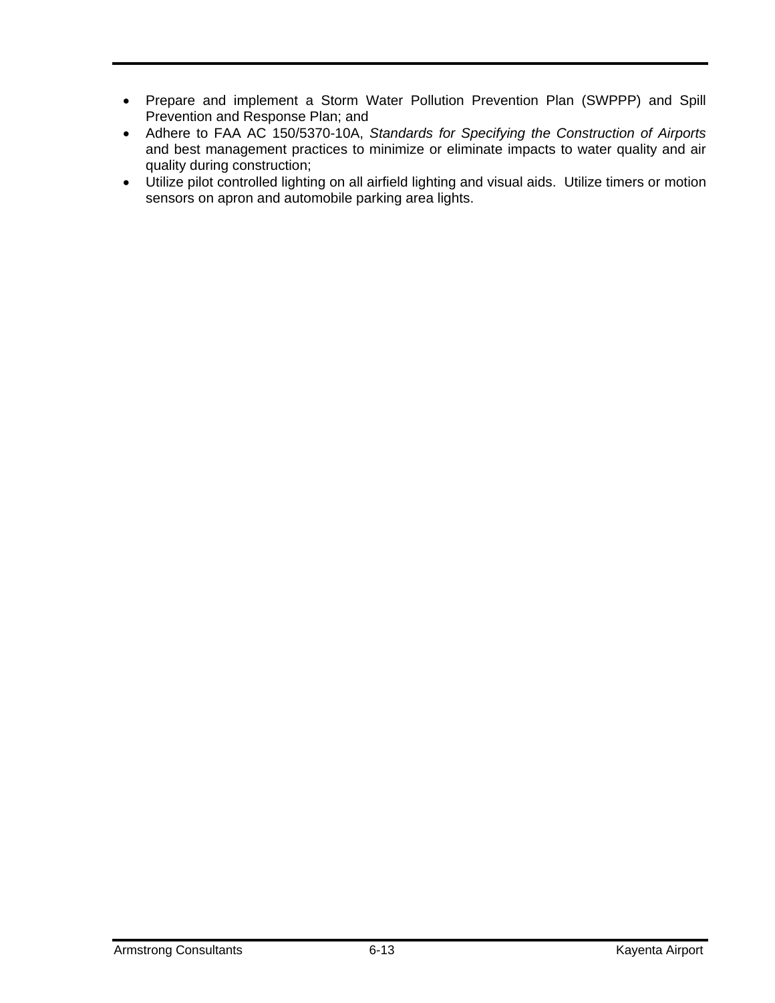- Prepare and implement a Storm Water Pollution Prevention Plan (SWPPP) and Spill Prevention and Response Plan; and
- Adhere to FAA AC 150/5370-10A, *Standards for Specifying the Construction of Airports* and best management practices to minimize or eliminate impacts to water quality and air quality during construction;
- Utilize pilot controlled lighting on all airfield lighting and visual aids. Utilize timers or motion sensors on apron and automobile parking area lights.